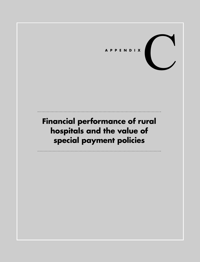

# **Financial performance of rural hospitals and the value of special payment policies**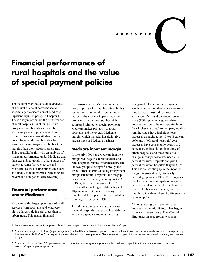## **APPENDIX**

# **Financial performance of rural hospitals and the value of special payment policies**

This section provides a detailed analysis of hospital financial performance to accompany the discussion of Medicare inpatient payment policy in Chapter 4. These analyses compare the performance of rural hospitals—including distinct groups of rural hospitals created by Medicare payment policy as well as by degree of ruralness—with that of urban ones.1 In general, rural hospitals have lower Medicare margins but higher total margins than their urban counterparts. This appendix begins with an analysis of financial performance under Medicare and then expands to trends in other sources of patient revenue (private payers and Medicaid, as well as uncompensated care) and finally to total margins (reflecting all payers and non-patient care revenue).

## **Financial performance under Medicare**

Medicare is the largest purchaser of health services from hospitals, and Medicare plays a larger role in rural areas than in urban areas. This makes financial

performance under Medicare relatively more important for rural hospitals. In this section, we examine the trend in inpatient margins, the impact of special payment provisions for certain rural hospitals compared with other special payments Medicare makes primarily to urban hospitals, and the overall Medicare margin, which includes hospitals' five largest lines of Medicare business.

## **Medicare inpatient margin**

In the early 1990s, the Medicare inpatient margin was negative for both urban and rural hospitals, but the difference between the two groups was slight.<sup>2</sup> Through the 1990s, urban hospitals had higher inpatient margins than rural hospitals, and the gap has widened in recent years (Figure C-1). In 1999, the urban margin fell to 13.5 percent after reaching an all-time high of 18 percent in 1997, while the margin for rural hospitals dropped to 4.1 percent after peaking at 10 percent in 1996.

The Medicare inpatient margin is lower for rural hospitals than urban hospitals due to lower payments and relatively higher

cost growth. Differences in payment levels have been relatively constant over time because most indirect medical education (IME) and disproportionate share (DSH) payments go to urban hospitals and contribute substantially to their higher margins.<sup>3</sup> Accompanying this, rural hospitals have had higher cost increases throughout the 1990s. Between 1990 and 1999, rural hospitals' cost increases have consistently been 1 to 2 percentage points higher than those of urban hospitals, and the cumulative change in cost per case was nearly 30 percent for rural hospitals and just 14 percent for urban hospitals (Figure C-2). This has caused the gap in the inpatient margin to grow steadily, to nearly 10 percentage points in 1999. This suggests that the difference in inpatient margins between rural and urban hospitals is due more to higher rates of cost growth for rural hospitals than inherent differences in payment policy.

C

Although cost growth slowed for all hospitals in the mid-1990s, it has begun to increase in recent years. The effect of differences in cost growth was most

1 For an overview of the special payment policies for rural hospitals, see Appendix B and the text box in Chapter 4.

2 The inpatient margin is calculated (in percentage terms) as the difference between inpatient payments and Medicare-allowable costs (as derived from costs reported by hospitals to the Health Care Financing Administration) divided by inpatient payments. The same general approach is used for the overall Medicare margin and the total margin.

3 The impact of both IME and DSH payments on total prospective payment system payments to urban and rural hospitals is estimated in the section on the value of Medicare's special payment provisions.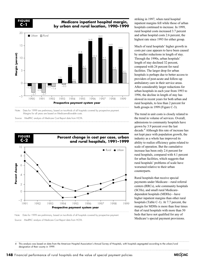

## **Medicare inpatient hospital margin, by urban and rural location, 1990–1999**



Source: MedPAC analysis of Medicare Cost Report data from HCFA.



Note: Data for 1999 are preliminary, based on two-thirds of all hospitals covered by prospective payment.

striking in 1997, when rural hospital inpatient margins fell while those of urban hospitals continued to increase. In 1999, rural hospital costs increased 3.7 percent and urban hospital costs 2.6 percent, the highest rate since 1993 for either group.

Much of rural hospitals' higher growth in costs per case appears to have been caused by smaller reductions in length of stay. Through the 1990s, urban hospitals' length of stay declined 32 percent, compared with 24 percent for rural facilities. The larger drop for urban hospitals is perhaps due to better access to providers of post-acute and follow-up ambulatory care in their service areas. After considerably larger reductions for urban hospitals in each year from 1993 to 1996, the decline in length of stay has slowed in recent years for both urban and rural hospitals, to less than 2 percent for both groups in 1999 (Figure C-3).

The trend in unit costs is closely related to the trend in volume of services. Overall, admissions to community hospitals have grown by 3.9 percent over the last decade.4 Although this rate of increase has not kept pace with population growth, the industry as a whole has improved its ability to realize efficiency gains related to scale of operation. But the cumulative increase has been only 2.6 percent for rural hospitals, compared with 4.1 percent for urban facilities, which suggests that rural hospitals' problems of scale have worsened relative to their urban counterparts.

Rural hospitals that receive special payments under Medicare—rural referral centers (RRCs), sole community hospitals (SCHs), and small rural Medicaredependent hospitals (MDHs)—have higher inpatient margins than other rural hospitals (Table C-1). At 7.7 percent, the margin for MDHs is more than four times that of rural hospitals with more than 50 beds that have not qualified for any of Medicare's special payment provisions.

4 This analysis was based on data from the American Hospital Association's Annual Survey of Hospitals, with hospitals segregated according to the urban/rural designation of their county in 1999.



Source: MedPAC analysis of Medicare Cost Report data from HCFA.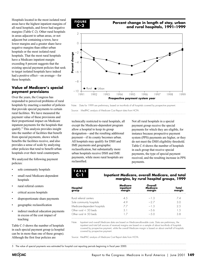Hospitals located in the most isolated rural areas have the highest inpatient margins of all rural hospitals, and fewer had negative margins (Table C-2). Other rural hospitals in areas adjacent to urban areas, or not adjacent but containing a town, have lower margins and a greater share have negative margins than either urban hospitals or the most isolated rural hospitals. That the most rural hospitals have a Medicare inpatient margin exceeding 8 percent suggests that the existing special payment policies that seek to target isolated hospitals have indeed had a positive effect—on average—for these hospitals.

## **Value of Medicare's special payment provisions**

Over the years, the Congress has responded to perceived problems of rural hospitals by enacting a number of policies that provide special payments to certain rural facilities. We have measured the payment value of these provisions and their proportional impact on Medicare inpatient payments for the hospitals that qualify.5 This analysis provides insight into the number of facilities that benefit from special payments, shows which benefits the facilities receive, and also provides a sense of scale by analyzing other policies that tend to benefit urban hospitals over their rural counterparts.

We analyzed the following payment policies:

- sole community hospitals
- small rural Medicare-dependent hospitals
- rural referral centers
- critical access hospitals
- disproportionate share payments
- geographic reclassification
- indirect medical education payments in excess of the cost impact of teaching

Table C-3 shows the number of hospitals in each special payment group (a hospital can be in more than one of these groups). Although the first four policies are



## **Percent change in length of stay, urban and rural hospitals, 1991–1999**



Note: Data for 1999 are preliminary, based on two-thirds of all hospitals covered by prospective payment.

Source: MedPAC analysis of Medicare Cost Report data from HCFA.

technically restricted to rural hospitals, all except the Medicare-dependent program allow a hospital to keep its group designation—and the resulting additional payment—if its county becomes urban. All hospitals may qualify for DSH and IME payments and geographic reclassification, but substantially more urban hospitals receive DSH and IME payments, while more rural hospitals are reclassified.

Not all rural hospitals in a special payment group receive the special payments for which they are eligible, for instance because prospective payment system (PPS) payments are higher, or they do not meet the DSH eligibility threshold. Table C-4 shows the number of hospitals in each group that receive special payments, the type of special payment received, and the resulting increase in PPS payments.

## **TABLE C-1**

#### **Inpatient Medicare, overall Medicare, and total margins, by rural hospital groups, 1999**

| Hospital<br>group            | Medicare<br>inpatient<br>margin | Overall<br>Medicare<br>margin | Total<br>margin |
|------------------------------|---------------------------------|-------------------------------|-----------------|
| Rural referral centers       | 4.5                             | $-1.3$                        | 74              |
| Sole community hospitals     | 49                              | -27                           | 3.0             |
| Medicare-dependent hospitals | 77                              | $-1.3$                        | 2.5             |
| Other rural $<$ 50 beds      | 31                              | $-5.6$                        | 1.5             |
| Other rural $\geq$ 50 beds   |                                 | $-50$                         | 38              |

Note: Inpatient and overall Medicare data are based on Medicare-allowable costs. Data are preliminary; the inpatient and total (all sources of revenue) margins are based on a sample of about two-thirds of hospitals covered by prospective payment, while the overall Medicare margin is based on about one-half of hospitals covered by prospective payment.

Source: MedPAC analysis of Medicare Cost Report data from HCFA.

5 The value of special payments was estimated for hospital cost reporting periods beginning in fiscal year 2000.

**MECOAC**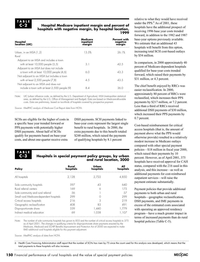#### **Hospital Medicare inpatient margin and percent of hospitals with negative margin, by hospital location, 1999**

| Hospital<br>location (UIC)                    | Medicare<br>inpatient<br>margin | <b>Percent with</b><br>negative<br>margin |
|-----------------------------------------------|---------------------------------|-------------------------------------------|
| Urban, in an MSA (1,2)                        | 13.5%                           | 26.1%                                     |
| Rural                                         |                                 |                                           |
| Adjacent to an MSA and includes a town        |                                 |                                           |
| with at least 10,000 people (3,5)             | 31                              | 42.5                                      |
| Adjacent to an MSA but does not include       |                                 |                                           |
| a town with at least 10,000 people (4,6)      | 60                              | 433                                       |
| Not adjacent to an MSA but includes a town    |                                 |                                           |
| with at least 2,500 people (7,8)              | 4.5                             | 43.5                                      |
| Not adjacent to an MSA and does not           |                                 |                                           |
| include a town with at least 2,500 people (9) | 84                              | 36 O                                      |

Note: UIC (urban influence code, as defined by the U.S. Department of Agriculture). MSA (metropolitan statistical area, as defined by the U.S. Office of Management and Budget). Data are based on Medicare-allowable costs. Data are preliminary, based on two-thirds of hospitals covered by prospective payment.

Source: MedPAC analysis of Medicare Cost Report data from HCFA.

SCHs are eligible for the higher of costs in a specific base year trended forward or PPS payments with potentially higher DSH payments. About half of SCHs qualify for payments based on base-year costs, and about one-quarter receive extra

DSH payments. SCH payments linked to base-year costs represent the largest single benefit to rural hospitals. In 2000, the extra payments due to this benefit totaled \$248 million, which raised the payments of qualifying hospitals by 8.1 percent

**TABLE C-3**

## **Hospitals in special payment policy groups, by urban and rural location, 2000**

| Policy                                   | Rural<br>hospitals | Urban<br>hospitals | hospitals     |
|------------------------------------------|--------------------|--------------------|---------------|
| All hospitals                            | 2.128              | 2.722              | 4.850         |
| Sole community hospitals                 | 597                | 43                 | 640           |
| Rural referral centers                   | 169                |                    | 175           |
| Sole community and rural referral        | 56                 |                    | $\frac{1}{2}$ |
| Small rural Medicare-dependent hospitals | 299                |                    | 299           |
| Critical access hospitals                | 216                | 3                  | 219           |
| Geographic reclassification              | 408                | 83                 | 491           |
| Disproportionate share                   | 339                | 1,440              |               |
| Indirect medical education               | 69                 | 1.038              | 1.107         |
|                                          |                    |                    |               |

Note: The number of sole community hospitals has grown to 833 and the number of critical access hospitals to 375 as of April 2001. The changes in qualifying criteria for disproportionate share payments enacted by the Medicare, Medicaid and SCHIP Benefits Improvement and Protection Act of 2000 are expected to make 840 additional rural hospitals eligible for this payment adjustment.

Source: MedPAC analysis of data from HCFA.

6 Health Care Financing Administration staff report that the number of SCHs has risen by 75 since the count used for this analysis was developed, which means that the total payments to these hospitals will also increase.

relative to what they would have received under the PPS. $<sup>6</sup>$  As of 2001, these</sup> hospitals have the additional prospect of receiving 1996 base year costs trended forward, in addition to the 1982 and 1987 base-year options previously available. We estimate that an additional 43 hospitals will benefit from this option, increasing total SCH cost-based outlays by \$54 million.

In comparison, in 2000 approximately 40 percent of Medicare-dependent hospitals qualified for base-year costs trended forward, which raised their payments by \$31 million, or 4.3 percent.

The chief benefit enjoyed by RRCs was easier reclassification. In 2000, approximately 80 percent of RRCs were reclassified, which increases their PPS payments by \$217 million, or 7.2 percent. Less than a third of RRCs received additional DSH payments of \$30 million, which increased their PPS payments by 0.7 percent.

Cost-based reimbursement for critical access hospitals (that is, the amount of payment above what the PPS would otherwise provide) resulted in a relatively modest increase in Medicare outlays compared with other special payment policies—\$18 million in fiscal year 2000, which raised their payments by 10 percent. However, as of April 2001, 375 hospitals have received approval for CAH status, compared with the 216 used in this analysis, and this increase—as well as additional payments for cost-reimbursed outpatient services—will raise the payment estimate substantially.

Payment policies that provide additional payments to both urban and rural hospitals—geographic reclassification, DSH payments, and IME payments in excess of the estimated costs associated with operating an approved residency program—have a much greater impact in terms of increased payments than do rural hospital policies (Table C-5).

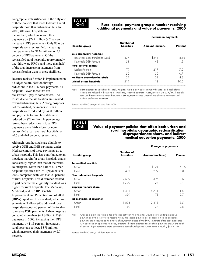Geographic reclassification is the only one of these policies that tends to benefit rural hospitals more than urban hospitals. In 2000, 408 rural hospitals were reclassified, which increased their payments by \$299 million (a 7 percent increase in PPS payments). Only 83 urban hospitals were reclassified, increasing their payments by \$124 million, or 5.1 percent of PPS payments. Of the reclassified rural hospitals, approximately one-third were RRCs, and more than half of the total increase in payments from reclassification went to these facilities.

Because reclassification is implemented in a budget-neutral fashion through reductions in the PPS base payments, all hospitals—even those that are reclassified—pay to some extent. The losses due to reclassification are skewed toward urban hospitals. Among hospitals not reclassified, payments to urban hospitals were reduced by \$400 million and payments to rural hospitals were reduced by \$23 million. In percentage terms, these reductions in total PPS payments were fairly close for nonreclassified urban and rural hospitals, at –0.6 and –0.4 percent, respectively.

Although rural hospitals are eligible to receive DSH and IME payments under Medicare, most of these payments go to urban hospitals. This has contributed to an inpatient margin for urban hospitals that is consistently higher than that of their rural counterparts. More than half of all urban hospitals qualified for DSH payments in 2000, compared with less than 20 percent of rural hospitals. This difference existed in part because the eligibility standard was higher for rural hospitals. The Medicare, Medicaid, and SCHIP Benefits Improvement and Protection Act of 2000 (BIPA) equalized this standard, which we estimate will allow 840 additional rural hospitals—about 40 percent of the total to receive DSH payments. Urban hospitals collected more than \$4.7 billion in DSH payments in 2000, increasing their PPS payments by 11.5 percent. In contrast, rural hospitals collected \$78 million, which increased their payments by 2.7 percent.



### **Rural special payment groups: number receiving additional payments and value of payments, 2000**

|                        | Increase in payments     |                |
|------------------------|--------------------------|----------------|
| Number of<br>hospitals | <b>Amount (millions)</b> | <b>Percent</b> |
|                        |                          |                |
| 337                    | \$248                    | 81%            |
| 1.51                   |                          | -3             |
|                        |                          |                |
| 179                    | 217                      | 72             |
| .52                    | 30                       |                |
| 129                    | 31                       | 43             |
| 219                    | ١R                       | O O            |
|                        |                          |                |

Note: DSH (disproportionate share hospital). Hospitals that are both sole community hospitals and rural referral centers are included in the group for which they received payment. Twenty-seven of 56 SCH/RRC hospitals received base-year costs trended forward. DSH payments exceed what a hospital would have received without preferential treatment.

Source: MedPAC analysis of data from HCFA.

**TABLE C-5**

#### **Value of payment policies that affect both urban and rural hospitals: geographic reclassification, disproportionate share, and indirect medical education payments, 2000**

|                               | Number of<br>hospitals | <b>Change in payments</b> |         |
|-------------------------------|------------------------|---------------------------|---------|
| <b>Hospital group</b>         |                        | <b>Amount (millions)</b>  | Percent |
| <b>Reclassified hospitals</b> |                        |                           |         |
| Urban                         | 83                     | \$124                     | 5.1%    |
| Rural                         | 408                    | 299                       | 70      |
| Non-reclassified hospitals    |                        |                           |         |
| Urban                         | 2,639                  | $-396$                    | -0.6    |
| Rural                         | 1,720                  | $-23$                     | $-0.4$  |
| <b>Disproportionate share</b> |                        |                           |         |
| Urban                         | 1,431                  | 4,711                     | 11.5    |
| Rural                         | 339                    | 78                        | 27      |
| Indirect medical education    |                        |                           |         |
| Urban                         | 1,038                  | 2,313                     | 5.5     |
| Rural                         | 69                     | 34                        | 28      |

Note: Change in payments refers to the difference between what hospitals would receive under prospective payment and what they would receive without the special payment policy. Indirect medical education payments are measured as the amount of payment in excess of MedPAC's estimate of the costs associated with operating an approved residency program. The total disproportionate share payments shown are net of all special disproportionate share payments to special rural groups, which came to roughly \$81 million.

Source: MedPAC analysis of data from HCFA.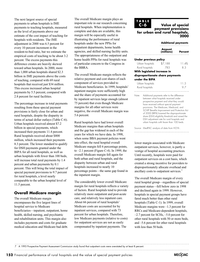The next largest source of special payments to urban hospitals is IME payments to teaching hospitals, measured as the level of payments above our estimate of the cost impact of teaching for hospitals with residents. The IME adjustment in 2000 was 6.5 percent for every 10 percent increment in the resident-to-bed ratio, but we estimate the empirical costs of teaching to be about 3.2 percent. The excess payments this difference creates are heavily skewed toward urban hospitals. In 2000, more than 1,000 urban hospitals shared \$2.3 billion in IME payments above the costs of teaching, compared with 69 rural hospitals that received just \$34 million. This excess increased urban hospital payments by 5.5 percent, compared with 2.8 percent for rural facilities.

The percentage increase in total payments resulting from these special payment provisions is fairly close for urban and rural hospitals, despite the disparity in terms of actual dollar outlays (Table C-6). Urban hospitals received almost \$7.2 billion in special payments, which increased their payments 11.4 percent. Rural hospitals received about \$800 million, which increased their payments 8.3 percent. The lower standard to qualify for DSH payments granted under the BIPA for all rural hospitals, as well as urban hospitals with fewer than 100 beds, will increase total rural payments by 1.4 percent and urban payments by 0.1 percent. This will bring the total impact of special payment provisions to 9.7 percent for rural hospitals, a level nearly comparable to the urban hospital level of 11.5 percent.

## **Overall Medicare margin**

The overall Medicare margin encompasses the five largest lines of hospital service to Medicare beneficiaries—inpatient, outpatient, home health, skilled nursing, and psychiatric and rehabilitation units. This margin also includes payments and costs for graduate medical education and Medicare bad debt.

The overall Medicare margin plays an important role in our research concerning rural hospitals. When implementation is complete and data are available, this margin will be especially useful in illustrating the performance of rural hospitals under the new PPSs for outpatient departments, home health agencies, and skilled nursing facility units. The appropriateness of the outpatient and home health PPSs for rural hospitals was of particular concern to the Congress in the BBRA.

The overall Medicare margin reflects the relative payment and cost shares of each component of services provided to Medicare beneficiaries. In 1999, hospitals' inpatient margins were sufficiently high and the share of payments accounted for by inpatient services large enough (almost 75 percent) that even though Medicare margins for all other services were negative, the overall Medicare margin was 5.6 percent.

Rural hospitals have had lower overall Medicare margins than urban hospitals and the gap has widened in each of the years for which we have data. In 1998, when some BBA payment policies went into effect, the rural hospital overall Medicare margin fell 6 percentage points, to  $-2.1$  percent (Figure C-4). In 1999, the overall Medicare margin fell again for both urban and rural hospitals, and the disparity between urban and rural hospitals increased to nearly 10 percentage points—the same gap found in the inpatient margin.

The considerably lower overall Medicare margin for rural hospitals reflects a variety of factors. Rural hospitals tend to provide relatively more outpatient and post-acute care, and relatively less inpatient care. About 66 percent of rural hospitals' Medicare costs are accounted for by inpatient services, compared with 73 percent for urban hospitals. Therefore, low Medicare payments (relative to costs) for outpatient services are not as easily compensated by inpatient payments. The

#### **Value of special payment provisions for urban and rural hospitals, 2000 TABLE C-6**

|       |                             | <b>Additional payments</b>                                                                                                                                               |         |
|-------|-----------------------------|--------------------------------------------------------------------------------------------------------------------------------------------------------------------------|---------|
|       |                             | Amount<br>(millions)                                                                                                                                                     | Percent |
|       | Under previous policy       |                                                                                                                                                                          |         |
|       | Urban hospitals             | \$7,188                                                                                                                                                                  | 11.4%   |
|       | Rural hospitals             | 783                                                                                                                                                                      | 8.3     |
|       | With legislated increase in |                                                                                                                                                                          |         |
|       |                             | disproportionate share payments                                                                                                                                          |         |
|       | under the BIPA              |                                                                                                                                                                          |         |
|       | Urban hospitals             |                                                                                                                                                                          | 11.5    |
|       | Rural hospitals             |                                                                                                                                                                          | 97      |
| Note: |                             | Additional payments refer to the difference<br>between what hospitals received under<br>prospective payment and what they would<br>have received without special payment |         |

provisions. The Medicare, Medicaid, and SCHIP Benefits Improvement and Protection Act of 2000 (BIPA) lowered the disproportionate share (DSH) eligibility threshold and raised the DSH adjustment rate for rural hospitals and urban hospitals with fewer than 100 beds.

Source: MedPAC analysis of data from HCFA .

lower margin associated with Medicare outpatient services, however, is partly a vestige of hospital accounting practices. Until recently, hospitals were paid for outpatient services on a cost basis, which created a strong incentive for providers to disproportionately allocate overhead and ancillary costs to outpatient services.7

The overall Medicare margin of every rural hospital group—regardless of special payment status—fell below zero in 1998 and declined again in 1999. However, hospitals in special payment groups have fared much better than other rural hospitals (Table C-1). In 1999, overall Medicare margins were  $-1.3$  percent for RRCs and Medicare-dependent hospitals, –2.7 percent for SCHs, –5.0 percent for other rural hospitals with 50 or more beds, and –5.6 percent for other rural hospitals with less than 50 beds.

7 A 1993 Prospective Payment Assessment Commission study found that outpatient costs were overstated by at least 8 percent.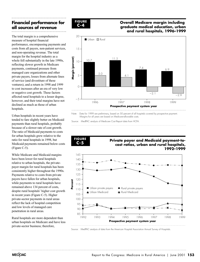# **Financial performance for all sources of revenue**

The total margin is a comprehensive measure of hospital financial performance, encompassing payments and costs from all payers, non-patient services, and non-operating revenue. The total margin for the hospital industry as a whole fell substantially in the late 1990s, reflecting slower growth in Medicare payments, continued pressure from managed care organizations and other private payers, losses from alternate lines of service (and divestiture of these ventures), and a return in 1998 and 1999 to cost increases after an era of very low or negative cost growth. These factors affected rural hospitals to a lesser degree, however, and their total margins have not declined as much as those of urban hospitals.

Urban hospitals in recent years have tended to fare slightly better on Medicaid payments than rural hospitals, probably because of a slower rate of cost growth. The ratio of Medicaid payments to costs for urban hospitals grew relative to the ratio for rural hospitals in 1998, but Medicaid payments remained below costs (Figure C-5).

While Medicare and Medicaid margins have been lower for rural hospitals relative to urban hospitals, the privatepayer margin for rural hospitals has been consistently higher throughout the 1990s. Payments relative to costs from private payers have fallen for urban hospitals, while payments to rural hospitals have remained above 134 percent of costs, despite rural hospitals' higher cost growth in recent years (Figure C-5). Higher private-sector payments in rural areas reflect the lack of hospital competition and low levels of managed care penetration in rural areas.

Rural hospitals are more dependent than urban hospitals on Medicare and have less private-sector business; therefore,



## **Overall Medicare margin including graduate medical education, urban and rural hospitals, 1996–1999**



Note: Data for 1999 are preliminary, based on 50 percent of all hospitals covered by prospective payment. Margins for all years are based on Medicare-allowable costs.

Source: MedPAC analysis of Medicare Cost Report data from HCFA.



Source: MedPAC analysis of data from the American Hospital Association Annual Survey of Hospitals.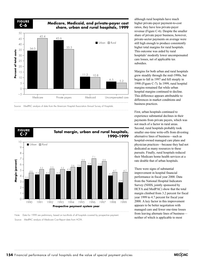**FIGURE C-6**

## **Medicare, Medicaid, and private-payer cost share, urban and rural hospitals, 1999**





Note: Data for 1999 are preliminary, based on two-thirds of all hospitals covered by prospective payment. Source: MedPAC analysis of Medicare Cost Report data from HCFA.

although rural hospitals have much higher private-payer payment-to-cost ratios, they have less private-payer revenue (Figure C-6). Despite the smaller share of private payer business, however, private-sector payments on average were still high enough to produce consistently higher total margins for rural hospitals. This outcome was aided by rural hospitals' modestly lower uncompensated care losses, net of applicable tax subsidies.

Margins for both urban and rural hospitals grew steadily through the mid-1990s, but began to fall in 1997 and fell steeply in 1998 (Figure C-7). In 1999, rural hospital margins remained flat while urban hospital margins continued to decline. This difference appears attributable to differences in market conditions and business practices.

First, urban hospitals continued to experience substantial declines in their payments from private payers, which was not much of a factor in rural areas. Second, rural hospitals probably took smaller one-time write-offs from divesting alternative lines of business—such as hospital-owned managed care plans and physician practices—because they had not dedicated as many resources to these pursuits. Finally, rural hospitals reduced their Medicare home health services at a rate double that of urban hospitals.

There were signs of substantial improvement in hospital financial performance in fiscal year 2000. Data from the National Hospital Indicators Survey (NHIS, jointly sponsored by HCFA and MedPAC) show that the total margin climbed from 3.2 percent for fiscal year 1999 to 4.7 percent for fiscal year 2000. A key factor in this improvement appears to be better negotiation with managed care and fewer one-time losses from leaving alternate lines of business neither of which is applicable to most